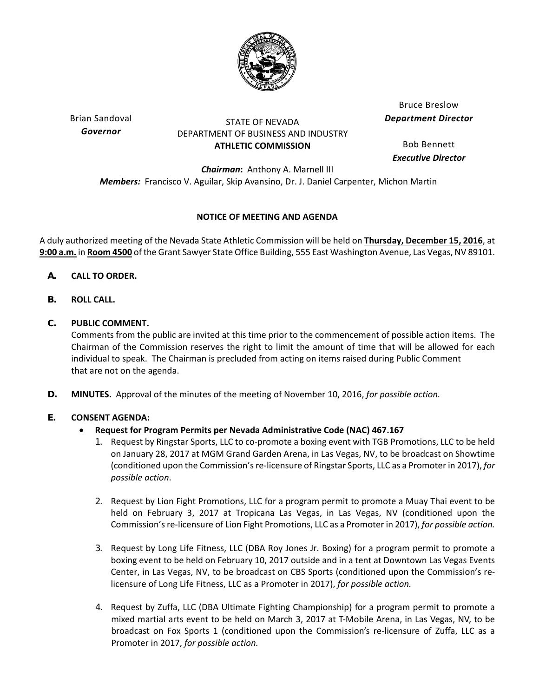

Brian Sandoval *Governor*

## STATE OF NEVADA DEPARTMENT OF BUSINESS AND INDUSTRY **ATHLETIC COMMISSION**

Bruce Breslow *Department Director*

Bob Bennett *Executive Director*

*Chairman***:** Anthony A. Marnell III *Members:* Francisco V. Aguilar, Skip Avansino, Dr. J. Daniel Carpenter, Michon Martin

# **NOTICE OF MEETING AND AGENDA**

A duly authorized meeting of the Nevada State Athletic Commission will be held on **Thursday, December 15, 2016**, at **9:00 a.m.** in **Room 4500** of the Grant Sawyer State Office Building, 555 East Washington Avenue, Las Vegas, NV 89101.

- **A. CALL TO ORDER.**
- **B. ROLL CALL.**

# **C. PUBLIC COMMENT.**

Comments from the public are invited at this time prior to the commencement of possible action items. The Chairman of the Commission reserves the right to limit the amount of time that will be allowed for each individual to speak. The Chairman is precluded from acting on items raised during Public Comment that are not on the agenda.

**D. MINUTES.** Approval of the minutes of the meeting of November 10, 2016, *for possible action.*

# **E. CONSENT AGENDA:**

- **Request for Program Permits per Nevada Administrative Code (NAC) 467.167**
	- 1. Request by Ringstar Sports, LLC to co‐promote a boxing event with TGB Promotions, LLC to be held on January 28, 2017 at MGM Grand Garden Arena, in Las Vegas, NV, to be broadcast on Showtime (conditioned upon the Commission's re-licensure of Ringstar Sports, LLC as a Promoter in 2017), *for possible action*.
	- 2. Request by Lion Fight Promotions, LLC for a program permit to promote a Muay Thai event to be held on February 3, 2017 at Tropicana Las Vegas, in Las Vegas, NV (conditioned upon the Commission's re-licensure of Lion Fight Promotions, LLC as a Promoter in 2017), *for possible action.*
	- 3. Request by Long Life Fitness, LLC (DBA Roy Jones Jr. Boxing) for a program permit to promote a boxing event to be held on February 10, 2017 outside and in a tent at Downtown Las Vegas Events Center, in Las Vegas, NV, to be broadcast on CBS Sports (conditioned upon the Commission's re‐ licensure of Long Life Fitness, LLC as a Promoter in 2017), *for possible action.*
	- 4. Request by Zuffa, LLC (DBA Ultimate Fighting Championship) for a program permit to promote a mixed martial arts event to be held on March 3, 2017 at T‐Mobile Arena, in Las Vegas, NV, to be broadcast on Fox Sports 1 (conditioned upon the Commission's re‐licensure of Zuffa, LLC as a Promoter in 2017, *for possible action.*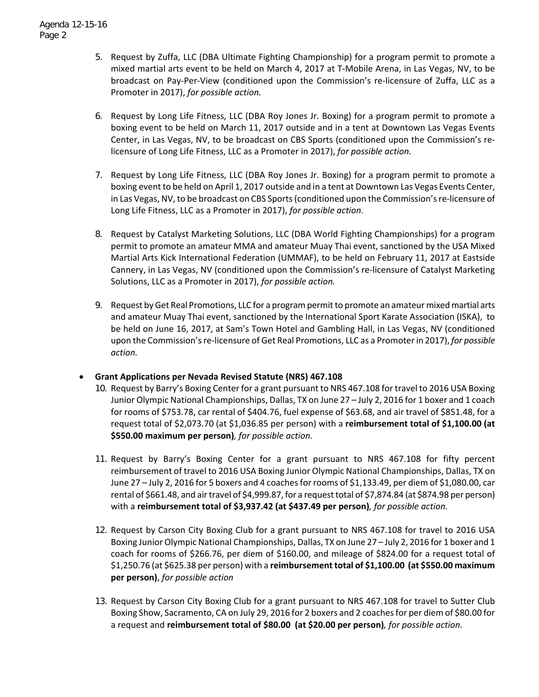- 5. Request by Zuffa, LLC (DBA Ultimate Fighting Championship) for a program permit to promote a mixed martial arts event to be held on March 4, 2017 at T‐Mobile Arena, in Las Vegas, NV, to be broadcast on Pay‐Per‐View (conditioned upon the Commission's re‐licensure of Zuffa, LLC as a Promoter in 2017), *for possible action.*
- 6. Request by Long Life Fitness, LLC (DBA Roy Jones Jr. Boxing) for a program permit to promote a boxing event to be held on March 11, 2017 outside and in a tent at Downtown Las Vegas Events Center, in Las Vegas, NV, to be broadcast on CBS Sports (conditioned upon the Commission's re‐ licensure of Long Life Fitness, LLC as a Promoter in 2017), *for possible action.*
- 7. Request by Long Life Fitness, LLC (DBA Roy Jones Jr. Boxing) for a program permit to promote a boxing event to be held on April 1, 2017 outside and in a tent at Downtown Las Vegas Events Center, in Las Vegas, NV, to be broadcast on CBS Sports (conditioned upon the Commission's re-licensure of Long Life Fitness, LLC as a Promoter in 2017), *for possible action.*
- 8. Request by Catalyst Marketing Solutions, LLC (DBA World Fighting Championships) for a program permit to promote an amateur MMA and amateur Muay Thai event, sanctioned by the USA Mixed Martial Arts Kick International Federation (UMMAF), to be held on February 11, 2017 at Eastside Cannery, in Las Vegas, NV (conditioned upon the Commission's re‐licensure of Catalyst Marketing Solutions, LLC as a Promoter in 2017), *for possible action.*
- 9. Request by Get Real Promotions, LLC for a program permit to promote an amateur mixed martial arts and amateur Muay Thai event, sanctioned by the International Sport Karate Association (ISKA), to be held on June 16, 2017, at Sam's Town Hotel and Gambling Hall, in Las Vegas, NV (conditioned upon the Commission'sre‐licensure of Get Real Promotions, LLC as a Promoterin 2017), *for possible action.*
- **Grant Applications per Nevada Revised Statute (NRS) 467.108**
	- 10. Request by Barry's Boxing Center for a grant pursuant to NRS 467.108 for travel to 2016 USA Boxing Junior Olympic National Championships, Dallas, TX on June 27 – July 2, 2016 for 1 boxer and 1 coach for rooms of \$753.78, car rental of \$404.76, fuel expense of \$63.68, and air travel of \$851.48, for a request total of \$2,073.70 (at \$1,036.85 per person) with a **reimbursement total of \$1,100.00 (at \$550.00 maximum per person)***, for possible action.*
	- 11. Request by Barry's Boxing Center for a grant pursuant to NRS 467.108 for fifty percent reimbursement of travel to 2016 USA Boxing Junior Olympic National Championships, Dallas, TX on June 27 – July 2, 2016 for 5 boxers and 4 coachesfor rooms of \$1,133.49, per diem of \$1,080.00, car rental of \$661.48, and airtravel of \$4,999.87, for a requesttotal of \$7,874.84 (at \$874.98 per person) with a **reimbursement total of \$3,937.42 (at \$437.49 per person)***, for possible action.*
	- 12. Request by Carson City Boxing Club for a grant pursuant to NRS 467.108 for travel to 2016 USA Boxing Junior Olympic National Championships, Dallas, TX on June 27 – July 2, 2016 for 1 boxer and 1 coach for rooms of \$266.76, per diem of \$160.00, and mileage of \$824.00 for a request total of \$1,250.76 (at \$625.38 per person) with a **reimbursement total of \$1,100.00 (at \$550.00 maximum per person)**, *for possible action*
	- 13. Request by Carson City Boxing Club for a grant pursuant to NRS 467.108 for travel to Sutter Club Boxing Show, Sacramento, CA on July 29, 2016 for 2 boxers and 2 coachesfor per diem of \$80.00 for a request and **reimbursement total of \$80.00 (at \$20.00 per person)***, for possible action.*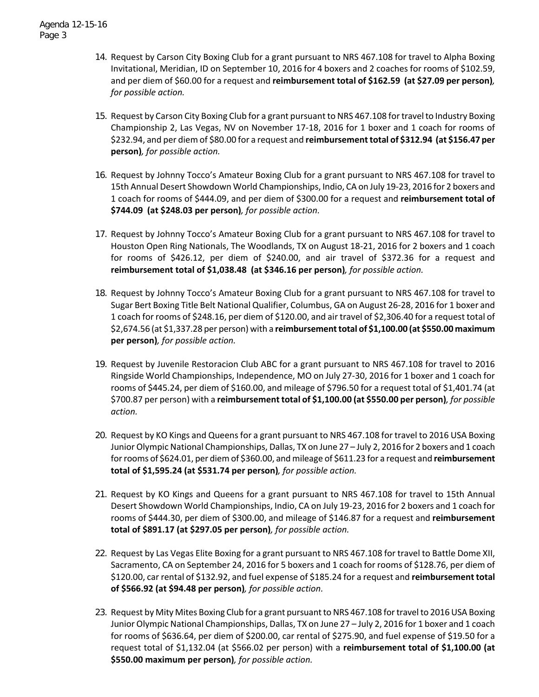- 14. Request by Carson City Boxing Club for a grant pursuant to NRS 467.108 for travel to Alpha Boxing Invitational, Meridian, ID on September 10, 2016 for 4 boxers and 2 coaches for rooms of \$102.59, and per diem of \$60.00 for a request and **reimbursement total of \$162.59 (at \$27.09 per person)***, for possible action.*
- 15. Request by Carson City Boxing Club for a grant pursuant to NRS 467.108 fortravelto Industry Boxing Championship 2, Las Vegas, NV on November 17‐18, 2016 for 1 boxer and 1 coach for rooms of \$232.94, and per diem of \$80.00 for a request and **reimbursementtotal of \$312.94 (at \$156.47 per person)***, for possible action.*
- 16. Request by Johnny Tocco's Amateur Boxing Club for a grant pursuant to NRS 467.108 for travel to 15th Annual Desert Showdown World Championships, Indio, CA on July 19‐23, 2016 for 2 boxers and 1 coach for rooms of \$444.09, and per diem of \$300.00 for a request and **reimbursement total of \$744.09 (at \$248.03 per person)***, for possible action.*
- 17. Request by Johnny Tocco's Amateur Boxing Club for a grant pursuant to NRS 467.108 for travel to Houston Open Ring Nationals, The Woodlands, TX on August 18‐21, 2016 for 2 boxers and 1 coach for rooms of \$426.12, per diem of \$240.00, and air travel of \$372.36 for a request and **reimbursement total of \$1,038.48 (at \$346.16 per person)***, for possible action.*
- 18. Request by Johnny Tocco's Amateur Boxing Club for a grant pursuant to NRS 467.108 for travel to Sugar Bert Boxing Title Belt National Qualifier, Columbus, GA on August 26‐28, 2016 for 1 boxer and 1 coach for rooms of \$248.16, per diem of \$120.00, and air travel of \$2,306.40 for a request total of \$2,674.56 (at \$1,337.28 per person) with a **reimbursementtotal of \$1,100.00 (at \$550.00 maximum per person)***, for possible action.*
- 19. Request by Juvenile Restoracion Club ABC for a grant pursuant to NRS 467.108 for travel to 2016 Ringside World Championships, Independence, MO on July 27‐30, 2016 for 1 boxer and 1 coach for rooms of \$445.24, per diem of \$160.00, and mileage of \$796.50 for a request total of \$1,401.74 (at \$700.87 per person) with a **reimbursement total of \$1,100.00 (at \$550.00 per person)***, for possible action.*
- 20. Request by KO Kings and Queens for a grant pursuant to NRS 467.108 for travel to 2016 USA Boxing Junior Olympic National Championships, Dallas, TX on June 27 – July 2, 2016 for 2 boxers and 1 coach forrooms of \$624.01, per diemof \$360.00, andmileage of \$611.23 for a request and **reimbursement total of \$1,595.24 (at \$531.74 per person)***, for possible action.*
- 21. Request by KO Kings and Queens for a grant pursuant to NRS 467.108 for travel to 15th Annual Desert Showdown World Championships, Indio, CA on July 19‐23, 2016 for 2 boxers and 1 coach for rooms of \$444.30, per diem of \$300.00, and mileage of \$146.87 for a request and **reimbursement total of \$891.17 (at \$297.05 per person)***, for possible action.*
- 22. Request by Las Vegas Elite Boxing for a grant pursuant to NRS 467.108 for travel to Battle Dome XII, Sacramento, CA on September 24, 2016 for 5 boxers and 1 coach for rooms of \$128.76, per diem of \$120.00, car rental of \$132.92, and fuel expense of \$185.24 for a request and **reimbursement total of \$566.92 (at \$94.48 per person)***, for possible action.*
- 23. Request by Mity Mites Boxing Club for a grant pursuant to NRS 467.108 for travel to 2016 USA Boxing Junior Olympic National Championships, Dallas, TX on June 27 – July 2, 2016 for 1 boxer and 1 coach for rooms of \$636.64, per diem of \$200.00, car rental of \$275.90, and fuel expense of \$19.50 for a request total of \$1,132.04 (at \$566.02 per person) with a **reimbursement total of \$1,100.00 (at \$550.00 maximum per person)***, for possible action.*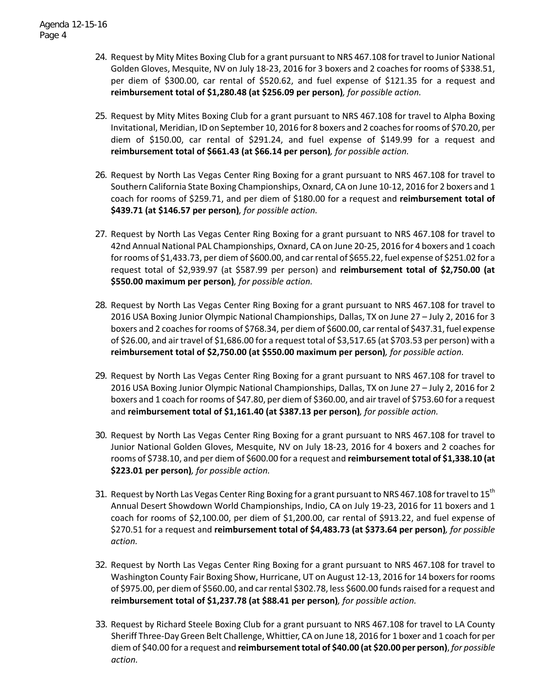- 24. Request by Mity Mites Boxing Club for a grant pursuant to NRS 467.108 for travel to Junior National Golden Gloves, Mesquite, NV on July 18‐23, 2016 for 3 boxers and 2 coaches for rooms of \$338.51, per diem of \$300.00, car rental of \$520.62, and fuel expense of \$121.35 for a request and **reimbursement total of \$1,280.48 (at \$256.09 per person)***, for possible action.*
- 25. Request by Mity Mites Boxing Club for a grant pursuant to NRS 467.108 for travel to Alpha Boxing Invitational, Meridian, ID on September 10, 2016 for 8 boxers and 2 coachesforrooms of \$70.20, per diem of \$150.00, car rental of \$291.24, and fuel expense of \$149.99 for a request and **reimbursement total of \$661.43 (at \$66.14 per person)***, for possible action.*
- 26. Request by North Las Vegas Center Ring Boxing for a grant pursuant to NRS 467.108 for travel to Southern California State Boxing Championships, Oxnard, CA on June 10‐12, 2016 for 2 boxers and 1 coach for rooms of \$259.71, and per diem of \$180.00 for a request and **reimbursement total of \$439.71 (at \$146.57 per person)***, for possible action.*
- 27. Request by North Las Vegas Center Ring Boxing for a grant pursuant to NRS 467.108 for travel to 42nd Annual National PAL Championships, Oxnard, CA on June 20‐25, 2016 for 4 boxers and 1 coach forrooms of \$1,433.73, per diem of \$600.00, and carrental of \$655.22, fuel expense of \$251.02 for a request total of \$2,939.97 (at \$587.99 per person) and **reimbursement total of \$2,750.00 (at \$550.00 maximum per person)***, for possible action.*
- 28. Request by North Las Vegas Center Ring Boxing for a grant pursuant to NRS 467.108 for travel to 2016 USA Boxing Junior Olympic National Championships, Dallas, TX on June 27 – July 2, 2016 for 3 boxers and 2 coaches for rooms of \$768.34, per diem of \$600.00, car rental of \$437.31, fuel expense of \$26.00, and air travel of \$1,686.00 for a request total of \$3,517.65 (at \$703.53 per person) with a **reimbursement total of \$2,750.00 (at \$550.00 maximum per person)***, for possible action.*
- 29. Request by North Las Vegas Center Ring Boxing for a grant pursuant to NRS 467.108 for travel to 2016 USA Boxing Junior Olympic National Championships, Dallas, TX on June 27 – July 2, 2016 for 2 boxers and 1 coach for rooms of \$47.80, per diem of \$360.00, and air travel of \$753.60 for a request and **reimbursement total of \$1,161.40 (at \$387.13 per person)***, for possible action.*
- 30. Request by North Las Vegas Center Ring Boxing for a grant pursuant to NRS 467.108 for travel to Junior National Golden Gloves, Mesquite, NV on July 18‐23, 2016 for 4 boxers and 2 coaches for rooms of \$738.10, and per diem of \$600.00 for a request and **reimbursement total of \$1,338.10 (at \$223.01 per person)***, for possible action.*
- 31. Request by North Las Vegas Center Ring Boxing for a grant pursuant to NRS 467.108 for travel to  $15<sup>th</sup>$ Annual Desert Showdown World Championships, Indio, CA on July 19‐23, 2016 for 11 boxers and 1 coach for rooms of \$2,100.00, per diem of \$1,200.00, car rental of \$913.22, and fuel expense of \$270.51 for a request and **reimbursement total of \$4,483.73 (at \$373.64 per person)***, for possible action.*
- 32. Request by North Las Vegas Center Ring Boxing for a grant pursuant to NRS 467.108 for travel to Washington County Fair Boxing Show, Hurricane, UT on August 12‐13, 2016 for 14 boxersforrooms of \$975.00, per diem of \$560.00, and carrental \$302.78, less \$600.00 fundsraised for a request and **reimbursement total of \$1,237.78 (at \$88.41 per person)***, for possible action.*
- 33. Request by Richard Steele Boxing Club for a grant pursuant to NRS 467.108 for travel to LA County Sheriff Three‐Day Green Belt Challenge, Whittier, CA on June 18, 2016 for 1 boxer and 1 coach for per diem of \$40.00 for a request and **reimbursementtotal of \$40.00 (at \$20.00 per person)**, *for possible action.*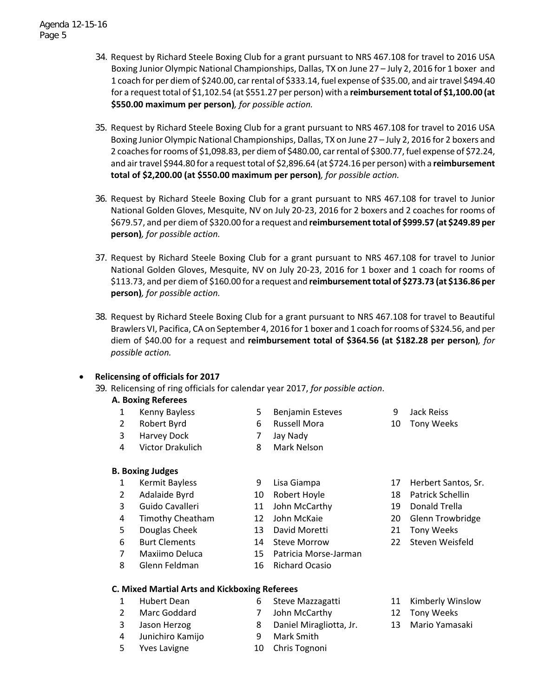- 34. Request by Richard Steele Boxing Club for a grant pursuant to NRS 467.108 for travel to 2016 USA Boxing Junior Olympic National Championships, Dallas, TX on June 27 – July 2, 2016 for 1 boxer and 1 coach for per diem of \$240.00, carrental of \$333.14, fuel expense of \$35.00, and airtravel \$494.40 for a request total of \$1,102.54 (at \$551.27 per person) with a **reimbursementtotal of \$1,100.00 (at \$550.00 maximum per person)***, for possible action.*
- 35. Request by Richard Steele Boxing Club for a grant pursuant to NRS 467.108 for travel to 2016 USA Boxing Junior Olympic National Championships, Dallas, TX on June 27 – July 2, 2016 for 2 boxers and 2 coaches for rooms of \$1,098.83, per diem of \$480.00, car rental of \$300.77, fuel expense of \$72.24, and air travel \$944.80 for a request total of \$2,896.64 (at \$724.16 per person) with a **reimbursement total of \$2,200.00 (at \$550.00 maximum per person)***, for possible action.*
- 36. Request by Richard Steele Boxing Club for a grant pursuant to NRS 467.108 for travel to Junior National Golden Gloves, Mesquite, NV on July 20‐23, 2016 for 2 boxers and 2 coaches for rooms of \$679.57, and per diem of \$320.00 for a request and **reimbursementtotal of \$999.57 (at \$249.89 per person)***, for possible action.*
- 37. Request by Richard Steele Boxing Club for a grant pursuant to NRS 467.108 for travel to Junior National Golden Gloves, Mesquite, NV on July 20‐23, 2016 for 1 boxer and 1 coach for rooms of \$113.73, and per diem of \$160.00 for a request and **reimbursementtotal of \$273.73 (at \$136.86 per person)***, for possible action.*
- 38. Request by Richard Steele Boxing Club for a grant pursuant to NRS 467.108 for travel to Beautiful Brawlers VI, Pacifica, CA on September 4, 2016 for 1 boxer and 1 coach for rooms of \$324.56, and per diem of \$40.00 for a request and **reimbursement total of \$364.56 (at \$182.28 per person)***, for possible action.*

## **Relicensing of officials for 2017**

39. Relicensing of ring officials for calendar year 2017, *for possible action*.

## **A. Boxing Referees**

- 1 Kenny Bayless 5 Benjamin Esteves 9 Jack Reiss
- 2 Robert Byrd 6 Russell Mora 10 Tony Weeks
- 3 Harvey Dock 7 Jay Nady
- 4 Victor Drakulich 8 Mark Nelson

### **B. Boxing Judges**

- 1 Kermit Bayless 9 Lisa Giampa 17 Herbert Santos, Sr.
- 
- 3 Guido Cavalleri 11 John McCarthy 19 Donald Trella
- 4 Timothy Cheatham 12 John McKaie 20 Glenn Trowbridge
- 5 Douglas Cheek 13 David Moretti 21 Tony Weeks
- 
- 
- 8 Glenn Feldman 16 Richard Ocasio
- -
	-
- 7 Maxiimo Deluca 15 Patricia Morse‐Jarman
	-
- 2 Adalaide Byrd 10 Robert Hoyle 18 Patrick Schellin
	-
	-
	-
- 6 Burt Clements 14 Steve Morrow 22 Steven Weisfeld
- **C. Mixed Martial Arts and Kickboxing Referees**
	-
	-
	-
	- 4 Junichiro Kamijo 9 Mark Smith
	-
	- 2 Marc Goddard 7 John McCarthy 12 Tony Weeks
		-
		-
	- 5 Yves Lavigne 10 Chris Tognoni
	- 1 Hubert Dean 6 Steve Mazzagatti 11 Kimberly Winslow
		-
	- 3 Jason Herzog 8 Daniel Miragliotta, Jr. 13 Mario Yamasaki
- 
- 
- 
-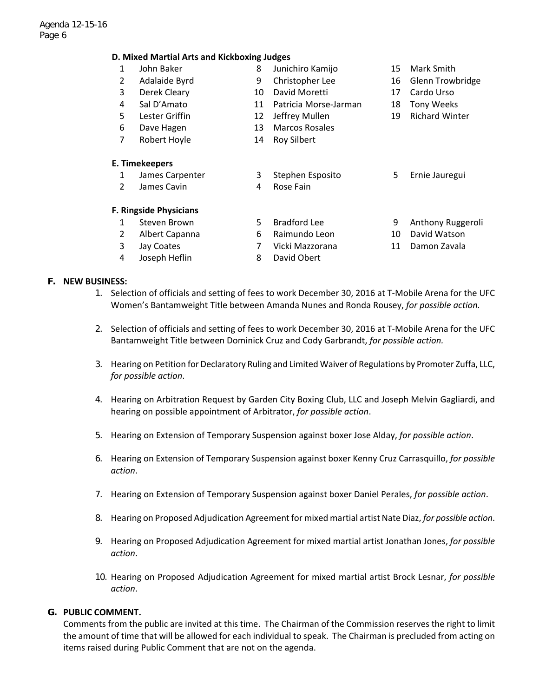#### **D. Mixed Martial Arts and Kickboxing Judges**

| $\mathbf{1}$   | John Baker                    | 8  | Junichiro Kamijo      | 15 | Mark Smith            |
|----------------|-------------------------------|----|-----------------------|----|-----------------------|
| $\overline{2}$ | Adalaide Byrd                 | 9  | Christopher Lee       | 16 | Glenn Trowbridge      |
| 3              | Derek Cleary                  | 10 | David Moretti         | 17 | Cardo Urso            |
| 4              | Sal D'Amato                   | 11 | Patricia Morse-Jarman | 18 | <b>Tony Weeks</b>     |
| 5              | Lester Griffin                | 12 | Jeffrey Mullen        | 19 | <b>Richard Winter</b> |
| 6              | Dave Hagen                    | 13 | <b>Marcos Rosales</b> |    |                       |
| 7              | Robert Hoyle                  | 14 | <b>Roy Silbert</b>    |    |                       |
|                | E. Timekeepers                |    |                       |    |                       |
| $\mathbf{1}$   | James Carpenter               | 3  | Stephen Esposito      | 5. | Ernie Jauregui        |
| $\overline{2}$ | James Cavin                   | 4  | Rose Fain             |    |                       |
|                | <b>F. Ringside Physicians</b> |    |                       |    |                       |
| 1              | Steven Brown                  | 5  | <b>Bradford Lee</b>   | 9  | Anthony Ruggeroli     |
| $\overline{2}$ | Albert Capanna                | 6  | Raimundo Leon         | 10 | David Watson          |
| 3              | Jay Coates                    | 7  | Vicki Mazzorana       | 11 | Damon Zavala          |
| 4              | Joseph Heflin                 | 8  | David Obert           |    |                       |
|                |                               |    |                       |    |                       |

#### **F. NEW BUSINESS:**

- 1. Selection of officials and setting of fees to work December 30, 2016 at T‐Mobile Arena for the UFC Women's Bantamweight Title between Amanda Nunes and Ronda Rousey, *for possible action.*
- 2. Selection of officials and setting of fees to work December 30, 2016 at T‐Mobile Arena for the UFC Bantamweight Title between Dominick Cruz and Cody Garbrandt, *for possible action.*
- 3. Hearing on Petition for Declaratory Ruling and Limited Waiver of Regulations by Promoter Zuffa, LLC, *for possible action*.
- 4. Hearing on Arbitration Request by Garden City Boxing Club, LLC and Joseph Melvin Gagliardi, and hearing on possible appointment of Arbitrator, *for possible action*.
- 5. Hearing on Extension of Temporary Suspension against boxer Jose Alday, *for possible action*.
- 6. Hearing on Extension of Temporary Suspension against boxer Kenny Cruz Carrasquillo, *for possible action*.
- 7. Hearing on Extension of Temporary Suspension against boxer Daniel Perales, *for possible action*.
- 8. Hearing on Proposed Adjudication Agreementfor mixed martial artist Nate Diaz, *for possible action*.
- 9. Hearing on Proposed Adjudication Agreement for mixed martial artist Jonathan Jones, *for possible action*.
- 10. Hearing on Proposed Adjudication Agreement for mixed martial artist Brock Lesnar, *for possible action*.

### **G. PUBLIC COMMENT.**

Comments from the public are invited at this time. The Chairman of the Commission reserves the right to limit the amount of time that will be allowed for each individual to speak. The Chairman is precluded from acting on items raised during Public Comment that are not on the agenda.